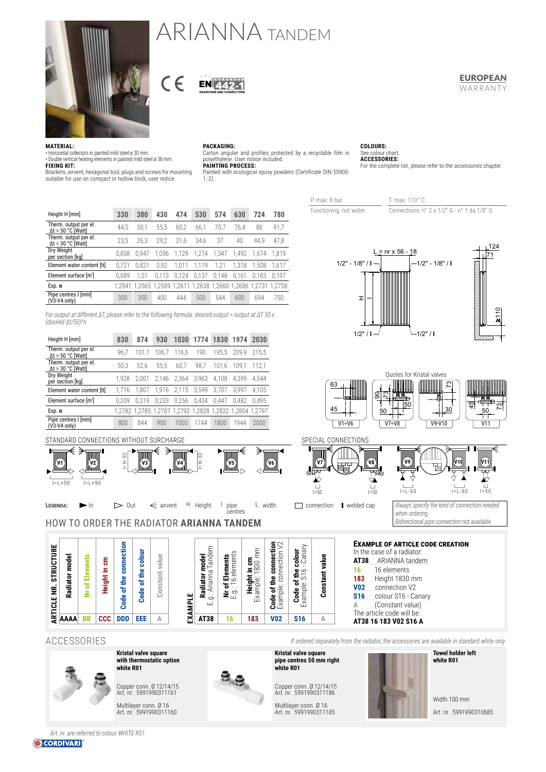

# ARIANNA TANDEM

### **FUROPFAN** WARRANTY

For the complete list, please refer to the accessories chapter.

**MATERIAL:**

• Horizontal collectors in painted mild steel ø 30 mm. • Double vertical heating elements in painted mild steel ø 38 mm. **FIXING KIT:**

Brackets, airvent, hexagonal tool, plugs and screws for mounting suitable for use on compact or hollow brick, user notice.

EN AA

**PACKAGING:** Carton angular and profiles protected by a recyclable film in polyethylene. User notice included. **PAINTING PROCESS:**

Painted with ecological epoxy powders (Certificate DIN 55900- 1,-2).

> P. max: 8 bar T. max: 110° C Functioning: hot water Connections: n° 2 x 1/2" G - n° 1 da 1/8" G

**COLOURS:** See colour chart. **ACCESSORIES:** 

| Height H [mm]                                      | 330    | 380   | 430   | 474   | 530                                                     | 574   | 630   | 724   | 780   |
|----------------------------------------------------|--------|-------|-------|-------|---------------------------------------------------------|-------|-------|-------|-------|
| Therm. output per el.<br>$\Delta t$ = 50 °C [Watt] | 44.5   | 50.1  | 55.5  | 60.2  | 66.1                                                    | 70.7  | 76.4  | 86    | 91.7  |
| Therm. output per el.<br>$\Delta t = 30 °C$ [Watt] | 23.5   | 26.3  | 29.2  | 31.6  | 34.6                                                    | 37    | 40    | 44.9  | 47.8  |
| Dry Weight<br>per section [kg]                     | 0.838  | 0.947 | 1.056 | 1.129 | 1.274                                                   | 1.347 | 1.492 | 1.674 | 1.819 |
| Element water content [It]                         | 0.721  | 0.821 | 0.92  | 1.011 | 1.119                                                   | 1.21  | 1.318 | 1.508 | 1.617 |
| Element surface [m <sup>2</sup> ]                  | 0.089  | 1.01  | 0.113 | 0.124 | 0.137                                                   | 0.148 | 0.161 | 0.183 | 0.197 |
| Exp. n                                             | 1.2541 |       |       |       | 1,2565 1,2589 1,2611 1,2638 1,2660 1,2686 1,2731 1,2758 |       |       |       |       |
| Pipe centres I [mm]<br>$(V3-V4$ only)              | 300    | 350   | 400   | 444   | 500                                                     | 544   | 600   | 694   | 750   |

 $\epsilon$ 

*For output at different ΔT, please refer to the following formula: desired output = output at ΔT 50 x (desired Δt/50)^n*

| Height H [mm]                                      | 830   | 874   | 930   | 1030  | 1774  | 1830  | 1974                                                    | 2030  |
|----------------------------------------------------|-------|-------|-------|-------|-------|-------|---------------------------------------------------------|-------|
| Therm. output per el.<br>$\Delta t = 50$ °C [Watt] | 96.7  | 101.1 | 106.7 | 116.6 | 190   | 195.5 | 209.9                                                   | 215.5 |
| Therm. output per el.<br>$\Delta t = 30$ °C [Watt] | 50.3  | 52.6  | 55.5  | 60.7  | 98.7  | 101.6 | 109.1                                                   | 112.1 |
| Dry Weight<br>per section [kg]                     | 1.928 | 2.001 | 2.146 | 2.364 | 3,963 | 4.108 | 4.399                                                   | 4.544 |
| Element water content [It]                         | 1.716 | 1.807 | 1,916 | 2,115 | 3.599 | 3.707 | 3.997                                                   | 4.105 |
| Element surface [m <sup>2</sup> ]                  | 0.209 | 0.219 | 0.233 | 0.256 | 0.434 | 0.447 | 0.482                                                   | 0.495 |
| Exp. n                                             |       |       |       |       |       |       | 1,2782 1,2785 1,2787 1,2792 1,2828 1,2822 1,2804 1,2797 |       |
| Pipe centres I [mm]<br>$(V3-V4$ only)              | 800   | 844   | 900   | 1000  | 1744  | 1800  | 1944                                                    | 2000  |





124

 $\overline{1}$ =50

**V11**



STANDARD CONNECTIONS WITHOUT SURCHARGE

**ARTICLE NR. STRUCTURE Radiator model Nr of Elements Height in cm Code of the connection Code of the colour Constant value**

**AAAA BB CCC DDD EEE A**



HOW TO ORDER THE RADIATOR **ARIANNA TANDEM**



**LEGENDA:** In  $\triangleright$  Out  $\leqslant$  airvent H Height I pipe L width connection II welded cap

*Always specify the kind of connection needed*  when ordering *Bidirectional pipe connection not available*

30

**Example of article code creation** In the case of a radiator: **AT38** ARIANNA tandem **16** 16 elements **183** Height 1830 mm **V02** connection V2 S16 colour S16 - Canary **A** (Constant value) The article code will be: **AT38 16 183 V02 S16 A**

ACCESSORIES *If ordered separately from the radiator, the accessories are available in standard white only*



**with thermostatic option white R01** Copper conn. Ø 12/14/15 Art. nr. 5991990311161

**EXAMPLE**

EXAMPLE

**Radiator model** E.g.: Arianna Tandem **Nr of Elements** E.g.: 16 elements **Height in cm** Example: 1830 mm **Code of the connection**  Example: connection V2 **Code of the colour** Example: S16 - Canary

Radiator model<br>g.: Arianna Tandem

 $\ddot{\sigma}$ τū

Multilayer conn. Ø 16 Art. nr. 5991990311160

**Kristal valve square**



l pipe<br>centres

r of Elements<br>j.: 16 elements

**Kristal valve square pipe centres 50 mm right** 

**Constant value**

Constant value

Copper conn. Ø 12/14/15 Art. nr. 5991990311186

**white R01**

**AT38 16 183 V02 S16 A**

mm

Height in cm<br>Example: 1830 m

**Code of the connection**<br>Example: connection V2

**Code of the colour**<br>Example: S16 - Canary

Multilayer conn. Ø 16 Art. nr. 5991990311185



Width 100 mm Art. nr. 5991990310685